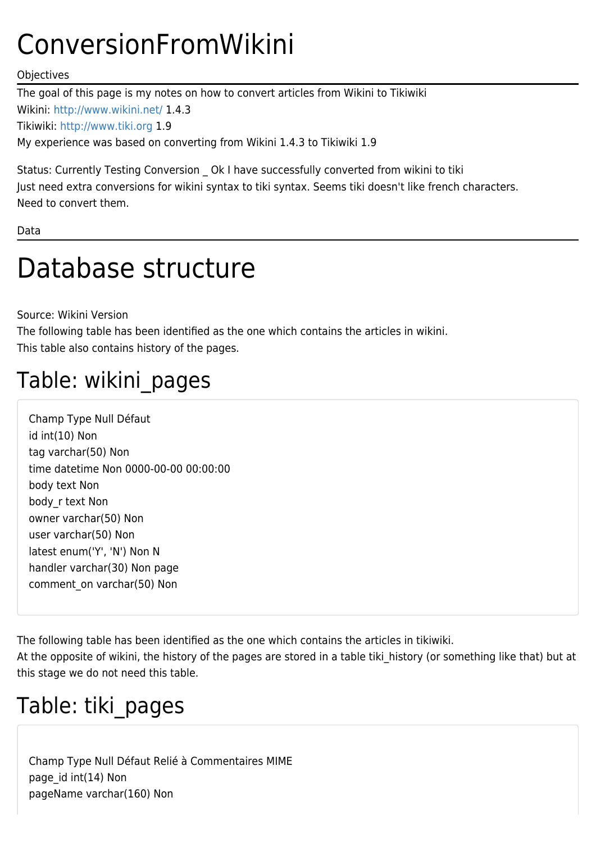# ConversionFromWikini

### **Objectives**

The goal of this page is my notes on how to convert articles from Wikini to Tikiwiki Wikini: <http://www.wikini.net/> 1.4.3 Tikiwiki:<http://www.tiki.org>1.9 My experience was based on converting from Wikini 1.4.3 to Tikiwiki 1.9

Status: Currently Testing Conversion \_ Ok I have successfully converted from wikini to tiki Just need extra conversions for wikini syntax to tiki syntax. Seems tiki doesn't like french characters. Need to convert them.

Data

## Database structure

Source: Wikini Version

The following table has been identified as the one which contains the articles in wikini. This table also contains history of the pages.

### Table: wikini\_pages

Champ Type Null Défaut id int(10) Non tag varchar(50) Non time datetime Non 0000-00-00 00:00:00 body text Non body\_r text Non owner varchar(50) Non user varchar(50) Non latest enum('Y', 'N') Non N handler varchar(30) Non page comment\_on varchar(50) Non

The following table has been identified as the one which contains the articles in tikiwiki.

At the opposite of wikini, the history of the pages are stored in a table tiki history (or something like that) but at this stage we do not need this table.

### Table: tiki\_pages

Champ Type Null Défaut Relié à Commentaires MIME page\_id int(14) Non pageName varchar(160) Non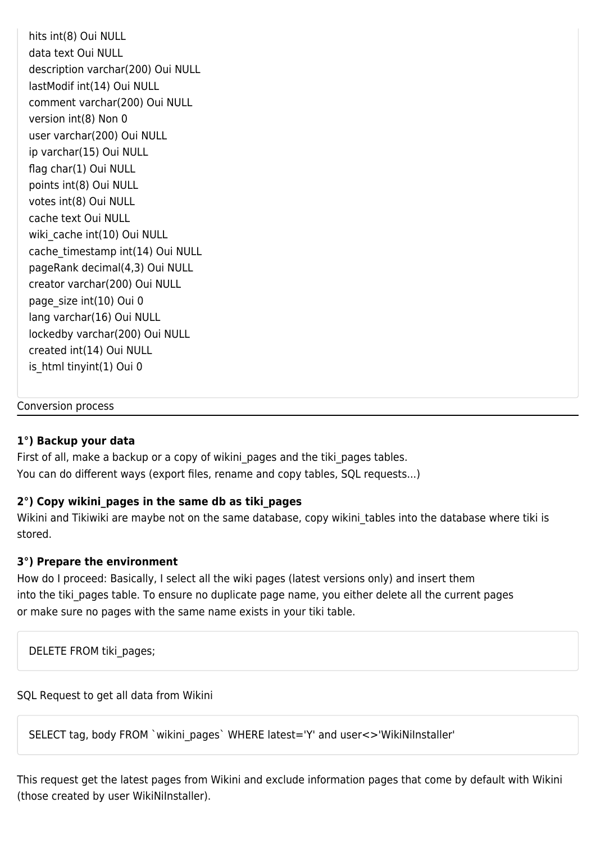hits int(8) Oui NULL data text Oui NULL description varchar(200) Oui NULL lastModif int(14) Oui NULL comment varchar(200) Oui NULL version int(8) Non 0 user varchar(200) Oui NULL ip varchar(15) Oui NULL flag char(1) Oui NULL points int(8) Oui NULL votes int(8) Oui NULL cache text Oui NULL wiki cache int(10) Oui NULL cache timestamp int(14) Oui NULL pageRank decimal(4,3) Oui NULL creator varchar(200) Oui NULL page\_size int(10) Oui 0 lang varchar(16) Oui NULL lockedby varchar(200) Oui NULL created int(14) Oui NULL is html tinyint(1) Oui 0

Conversion process

### **1°) Backup your data**

First of all, make a backup or a copy of wikini pages and the tiki pages tables. You can do different ways (export files, rename and copy tables, SQL requests...)

### **2°) Copy wikini\_pages in the same db as tiki\_pages**

Wikini and Tikiwiki are maybe not on the same database, copy wikini tables into the database where tiki is stored.

### **3°) Prepare the environment**

How do I proceed: Basically, I select all the wiki pages (latest versions only) and insert them into the tiki pages table. To ensure no duplicate page name, you either delete all the current pages or make sure no pages with the same name exists in your tiki table.

DELETE FROM tiki\_pages;

SQL Request to get all data from Wikini

SELECT tag, body FROM `wikini\_pages` WHERE latest='Y' and user<>'WikiNiInstaller'

This request get the latest pages from Wikini and exclude information pages that come by default with Wikini (those created by user WikiNiInstaller).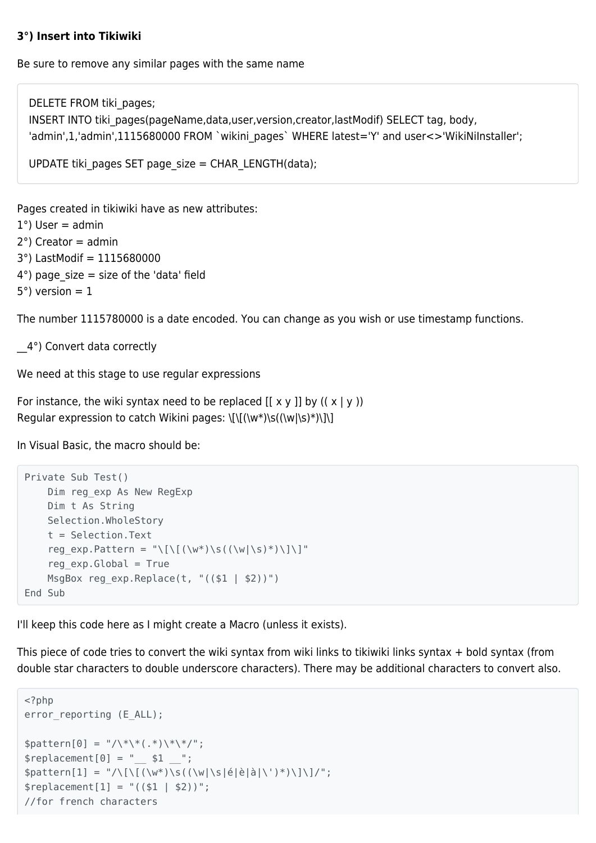#### **3°) Insert into Tikiwiki**

Be sure to remove any similar pages with the same name

DELETE FROM tiki pages; INSERT INTO tiki\_pages(pageName,data,user,version,creator,lastModif) SELECT tag, body, 'admin',1,'admin',1115680000 FROM `wikini\_pages` WHERE latest='Y' and user<>'WikiNiInstaller';

```
UPDATE tiki pages SET page size = CHAR_LENGTH(data);
```

```
Pages created in tikiwiki have as new attributes:
1^\circ) User = admin
2^{\circ}) Creator = admin
3°) LastModif = 1115680000
4^\circ) page size = size of the 'data' field
5^\circ) version = 1
```
The number 1115780000 is a date encoded. You can change as you wish or use timestamp functions.

\_\_4°) Convert data correctly

We need at this stage to use regular expressions

For instance, the wiki syntax need to be replaced  $[[x y ]]$  by  $((x | y))$ Regular expression to catch Wikini pages:  $\left\langle \left[ \left( \langle w^* \rangle \rangle \right] \right] \right\rangle$ 

In Visual Basic, the macro should be:

```
Private Sub Test()
    Dim reg_exp As New RegExp
    Dim t As String
    Selection.WholeStory
    t = Selection.Text
    reg_exp.Pattern = "\[\[(\w*)\s((\w|\s)*)\]\]"
    reg exp.Global = TrueMsgBox reg exp.Replace(t, "(($1 | $2))")
End Sub
```
I'll keep this code here as I might create a Macro (unless it exists).

This piece of code tries to convert the wiki syntax from wiki links to tikiwiki links syntax + bold syntax (from double star characters to double underscore characters). There may be additional characters to convert also.

```
<?php
error_reporting (E_ALL);
$pattern[0] = "/\^*\^*(.*)\^*\^*/",$replacement[0] = " $1 ";$pattern[1] = "\/\[\(\w*)\s(\(\we\leq\`e\leq\`\)]\;
$replacement[1] = "(($1 | $2))";//for french characters
```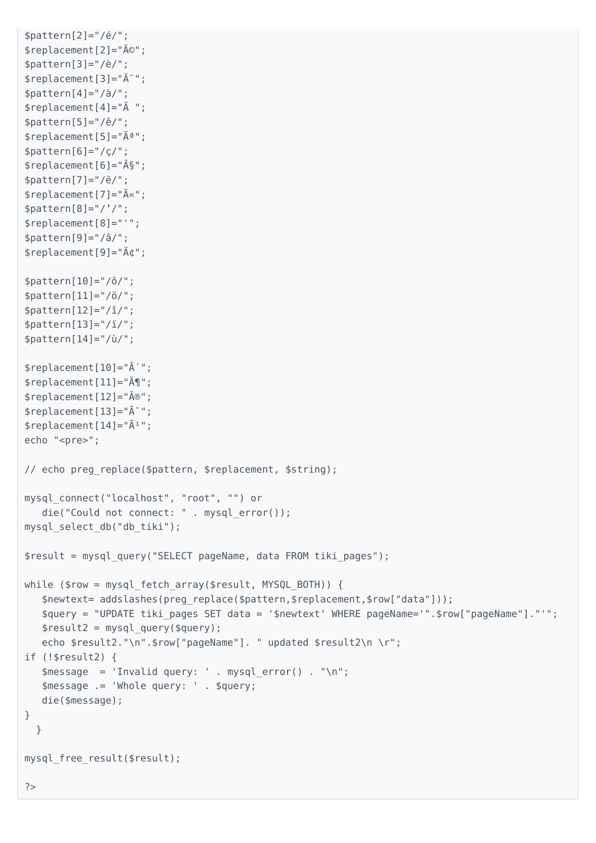```
$pattern[2]="/é/";
$replacement[2] = "A<sup>o</sup>";$pattern[3]="/è/";
$replacement[3] = "Ä"";$pattern[4]="/à/";
$replacement[4]="Ã ";
$pattern[5] = "/\hat{e}/";
$replacement[5]="\tilde{A}^a";$pattern[6]="(c/";$replacent[6] = "ŧ";
$pattern[7]="/ë/";
$replacement[7] = "Å";
$pattern[8]="/'/";
$replacement[8]="'";
$pattern[9]="/â/";
$replacement[9] = "Å¢";$pattern[10]="/ô/";
$pattern[11]="/ö/";
$pattern[12]="/î/";
$pattern[13] = "/i/";
$pattern[14]="/ù/";
$replacement[10]="\tilde{A}";
$replacement[11] = "Ä";
$replacement[12] = "Å®";$replacement[13] = "Ä";
$replacement[14]="\tilde{A}^1";
echo "<pre>";
// echo preg replace($pattern, $replacement, $string);
mysql connect("localhost", "root", "") or
   die("Could not connect: " . mysql error());
mysql_select_db("db_tiki");
$result = mysql_query("SELECT pageName, data FROM tiki_pages");
while ($row = mysql fetch array($result, MYSQL BOTH)) {
    $newtext= addslashes(preg_replace($pattern,$replacement,$row["data"]));
    $query = "UPDATE tiki_pages SET data = '$newtext' WHERE pageName='".$row["pageName"]."'";
   $result2 = mysql query({$query});echo $result2."\n".$row["pageName"]. " updated $result2\n \r";
if (!$result2) {
    $message = 'Invalid query: ' . mysql_error() . "\n";
    $message .= 'Whole query: ' . $query;
    die($message);
}
   }
mysql free result($result);
?
```